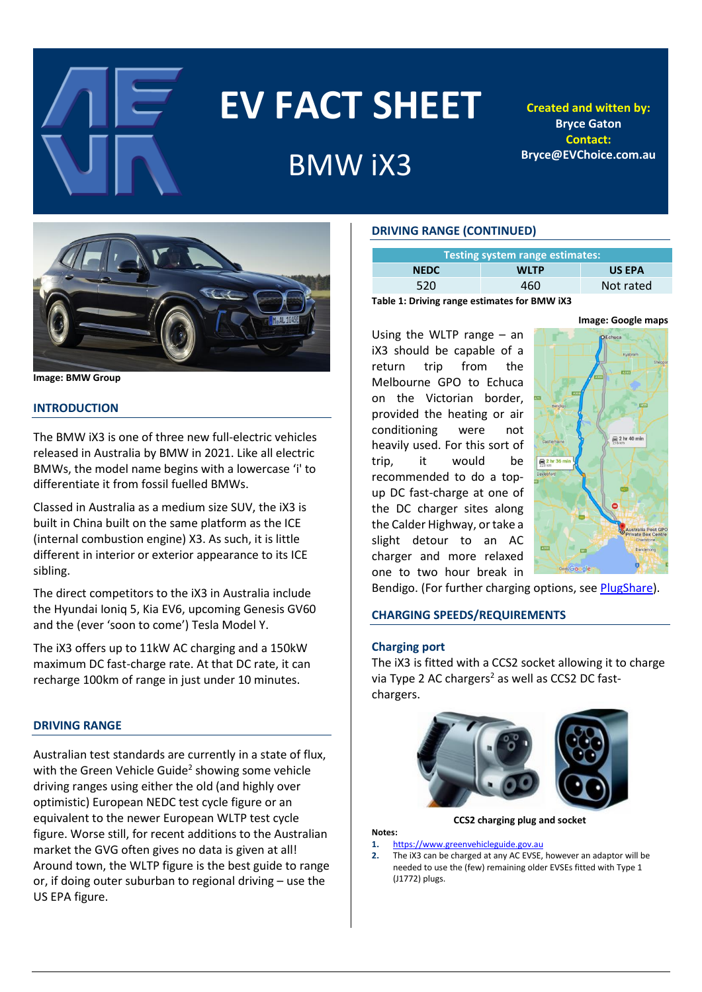

# **EV FACT SHEET**

# BMW iX3

**Created and witten by: Bryce Gaton Contact: Bryce@EVChoice.com.au**



**Image: BMW Group**

# **INTRODUCTION**

The BMW iX3 is one of three new full-electric vehicles released in Australia by BMW in 2021. Like all electric BMWs, the model name begins with a lowercase 'i' to differentiate it from fossil fuelled BMWs.

Classed in Australia as a medium size SUV, the iX3 is built in China built on the same platform as the ICE (internal combustion engine) X3. As such, it is little different in interior or exterior appearance to its ICE sibling.

The direct competitors to the iX3 in Australia include the Hyundai Ioniq 5, Kia EV6, upcoming Genesis GV60 and the (ever 'soon to come') Tesla Model Y.

The iX3 offers up to 11kW AC charging and a 150kW maximum DC fast-charge rate. At that DC rate, it can recharge 100km of range in just under 10 minutes.

# **DRIVING RANGE**

Australian test standards are currently in a state of flux, with the Green Vehicle Guide<sup>2</sup> showing some vehicle driving ranges using either the old (and highly over optimistic) European NEDC test cycle figure or an equivalent to the newer European WLTP test cycle figure. Worse still, for recent additions to the Australian market the GVG often gives no data is given at all! Around town, the WLTP figure is the best guide to range or, if doing outer suburban to regional driving – use the US EPA figure.

# **DRIVING RANGE (CONTINUED)**

Using the WLTP range – an iX3 should be capable of a return trip from the Melbourne GPO to Echuca on the Victorian border, provided the heating or air conditioning were not heavily used. For this sort of trip, it would be recommended to do a topup DC fast-charge at one of the DC charger sites along the Calder Highway, or take a slight detour to an AC charger and more relaxed one to two hour break in

| Testing system range estimates: |             |               |  |  |  |  |
|---------------------------------|-------------|---------------|--|--|--|--|
| <b>NEDC</b>                     | <b>WLTP</b> | <b>US EPA</b> |  |  |  |  |
| 520                             | 460         | Not rated     |  |  |  |  |

**Table 1: Driving range estimates for BMW iX3**

 $\approx$  2 hr 40 min e 2 hr 36

Bendigo. (For further charging options, see [PlugShare\)](https://www.plugshare.com/).

# **CHARGING SPEEDS/REQUIREMENTS**

#### **Charging port**

The iX3 is fitted with a CCS2 socket allowing it to charge via Type 2 AC chargers<sup>2</sup> as well as CCS2 DC fastchargers.



**CCS2 charging plug and socket**

# **Notes:**

- **1.** [https://www.greenvehicleguide.gov.au](https://www.greenvehicleguide.gov.au/)
- **2.** The iX3 can be charged at any AC EVSE, however an adaptor will be needed to use the (few) remaining older EVSEs fitted with Type 1 (J1772) plugs.

**Image: Google maps**